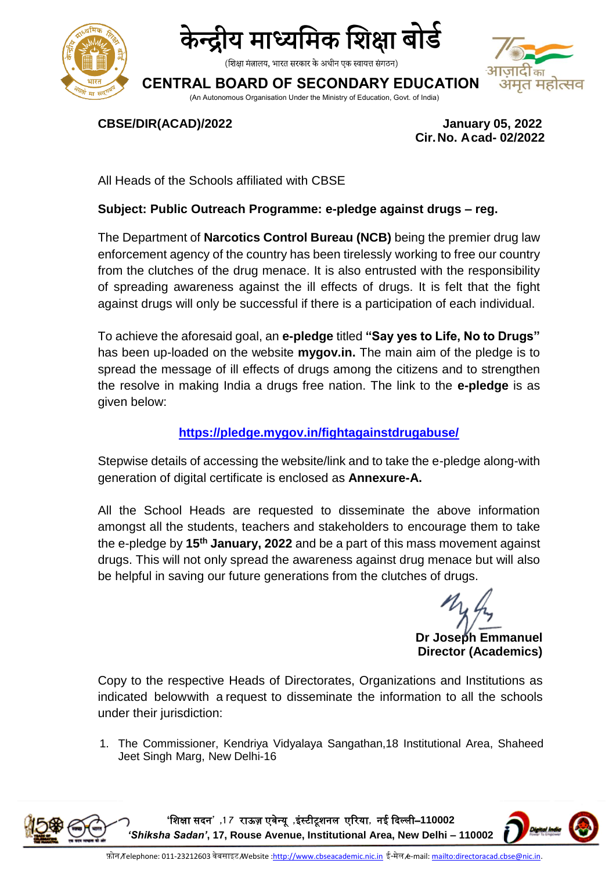



(शिक्षा मंत्रालय, भारत सरकार के अधीन एक स्वायत्त संगठन)

**CENTRAL BOARD OF SECONDARY EDUCATION**

(An Autonomous Organisation Under the Ministry of Education, Govt. of India)



**CBSE/DIR(ACAD)/2022 January 05, 2022**

 **Cir.No. Acad- 02/2022**

All Heads of the Schools affiliated with CBSE

## **Subject: Public Outreach Programme: e-pledge against drugs – reg.**

The Department of **Narcotics Control Bureau (NCB)** being the premier drug law enforcement agency of the country has been tirelessly working to free our country from the clutches of the drug menace. It is also entrusted with the responsibility of spreading awareness against the ill effects of drugs. It is felt that the fight against drugs will only be successful if there is a participation of each individual.

To achieve the aforesaid goal, an **e-pledge** titled **"Say yes to Life, No to Drugs"** has been up-loaded on the website **mygov.in.** The main aim of the pledge is to spread the message of ill effects of drugs among the citizens and to strengthen the resolve in making India a drugs free nation. The link to the **e-pledge** is as given below:

## **<https://pledge.mygov.in/fightagainstdrugabuse/>**

Stepwise details of accessing the website/link and to take the e-pledge along-with generation of digital certificate is enclosed as **Annexure-A.**

All the School Heads are requested to disseminate the above information amongst all the students, teachers and stakeholders to encourage them to take the e-pledge by **15th January, 2022** and be a part of this mass movement against drugs. This will not only spread the awareness against drug menace but will also be helpful in saving our future generations from the clutches of drugs.

**Dr Joseph Emmanuel Director (Academics)**

Copy to the respective Heads of Directorates, Organizations and Institutions as indicated belowwith a request to disseminate the information to all the schools under their jurisdiction:

1. The Commissioner, Kendriya Vidyalaya Sangathan,18 Institutional Area, Shaheed Jeet Singh Marg, New Delhi-16

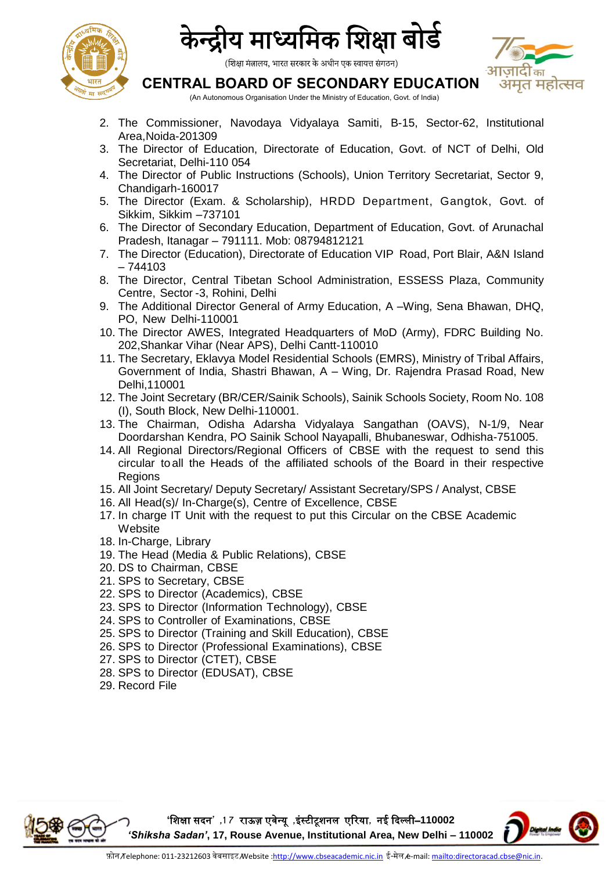



(शिक्षा मंत्रालय, भारत सरकार के अधीन एक स्वायत्त संगठन)

# . का अमत महोत्सव

## **CENTRAL BOARD OF SECONDARY EDUCATION**

(An Autonomous Organisation Under the Ministry of Education, Govt. of India)

- 2. The Commissioner, Navodaya Vidyalaya Samiti, B-15, Sector-62, Institutional Area,Noida-201309
- 3. The Director of Education, Directorate of Education, Govt. of NCT of Delhi, Old Secretariat, Delhi-110 054
- 4. The Director of Public Instructions (Schools), Union Territory Secretariat, Sector 9, Chandigarh-160017
- 5. The Director (Exam. & Scholarship), HRDD Department, Gangtok, Govt. of Sikkim, Sikkim –737101
- 6. The Director of Secondary Education, Department of Education, Govt. of Arunachal Pradesh, Itanagar – 791111. Mob: 08794812121
- 7. The Director (Education), Directorate of Education VIP Road, Port Blair, A&N Island – 744103
- 8. The Director, Central Tibetan School Administration, ESSESS Plaza, Community Centre, Sector -3, Rohini, Delhi
- 9. The Additional Director General of Army Education, A –Wing, Sena Bhawan, DHQ, PO, New Delhi-110001
- 10. The Director AWES, Integrated Headquarters of MoD (Army), FDRC Building No. 202,Shankar Vihar (Near APS), Delhi Cantt-110010
- 11. The Secretary, Eklavya Model Residential Schools (EMRS), Ministry of Tribal Affairs, Government of India, Shastri Bhawan, A – [Wing, Dr. Rajendra Prasad Road, New](http://tribal.gov.in/)  [Delhi,110001](http://tribal.gov.in/)
- 12. The Joint Secretary (BR/CER/Sainik Schools), Sainik Schools Society, Room No. 108 (I), South Block, New Delhi-110001.
- 13. The Chairman, Odisha Adarsha Vidyalaya Sangathan (OAVS), N-1/9, Near Doordarshan Kendra, PO Sainik School Nayapalli, Bhubaneswar, Odhisha-751005.
- 14. All Regional Directors/Regional Officers of CBSE with the request to send this circular to all the Heads of the affiliated schools of the Board in their respective **Regions**
- 15. All Joint Secretary/ Deputy Secretary/ Assistant Secretary/SPS / Analyst, CBSE
- 16. All Head(s)/ In-Charge(s), Centre of Excellence, CBSE
- 17. In charge IT Unit with the request to put this Circular on the CBSE Academic **Website**
- 18. In-Charge, Library
- 19. The Head (Media & Public Relations), CBSE
- 20. DS to Chairman, CBSE
- 21. SPS to Secretary, CBSE
- 22. SPS to Director (Academics), CBSE
- 23. SPS to Director (Information Technology), CBSE
- 24. SPS to Controller of Examinations, CBSE
- 25. SPS to Director (Training and Skill Education), CBSE
- 26. SPS to Director (Professional Examinations), CBSE
- 27. SPS to Director (CTET), CBSE
- 28. SPS to Director (EDUSAT), CBSE
- 29. Record File



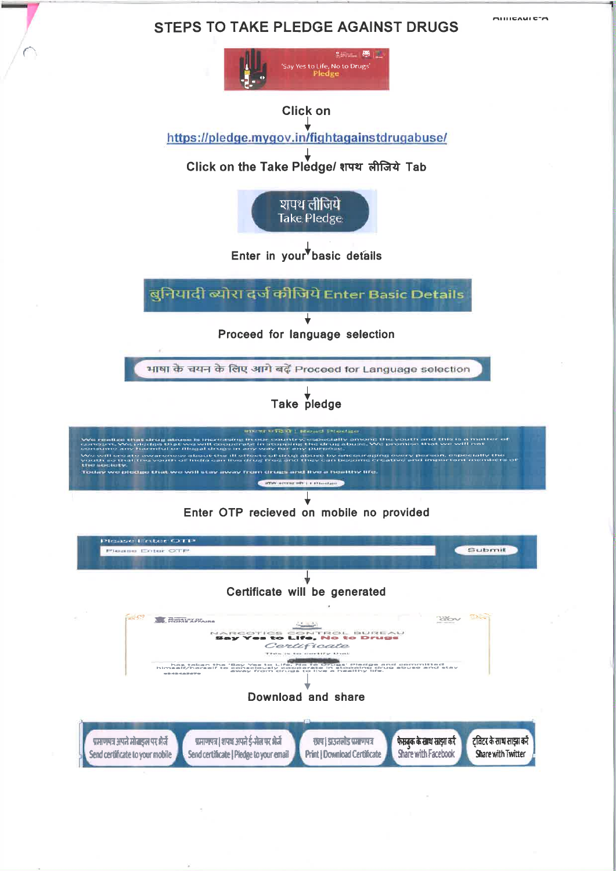# **STEPS TO TAKE PLEDGE AGAINST DRUGS**

**MILICAMICTA**